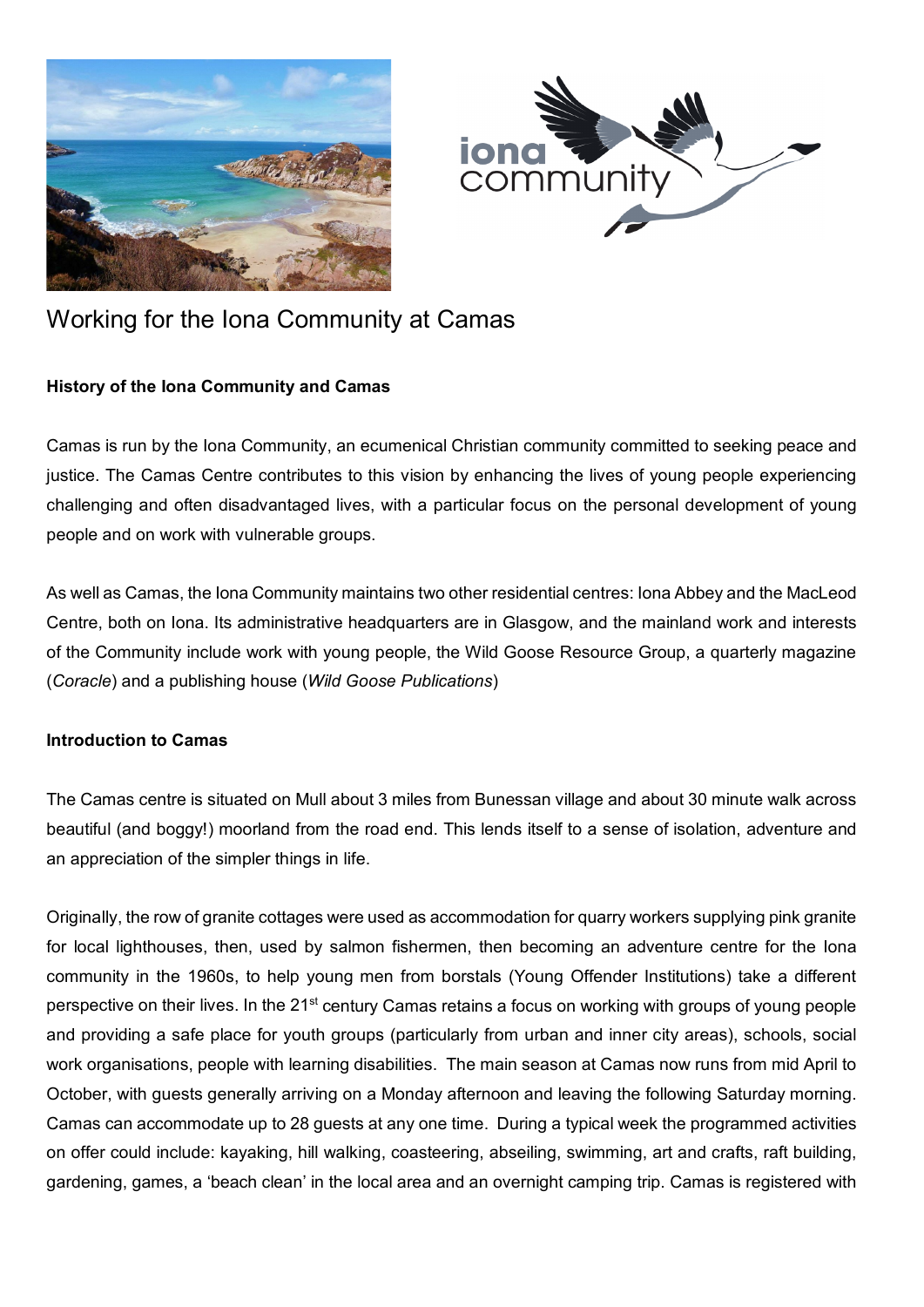



# Working for the Iona Community at Camas

### **History of the Iona Community and Camas**

Camas is run by the Iona Community, an ecumenical Christian community committed to seeking peace and justice. The Camas Centre contributes to this vision by enhancing the lives of young people experiencing challenging and often disadvantaged lives, with a particular focus on the personal development of young people and on work with vulnerable groups.

As well as Camas, the Iona Community maintains two other residential centres: Iona Abbey and the MacLeod Centre, both on Iona. Its administrative headquarters are in Glasgow, and the mainland work and interests of the Community include work with young people, the Wild Goose Resource Group, a quarterly magazine (*Coracle*) and a publishing house (*Wild Goose Publications*)

#### **Introduction to Camas**

The Camas centre is situated on Mull about 3 miles from Bunessan village and about 30 minute walk across beautiful (and boggy!) moorland from the road end. This lends itself to a sense of isolation, adventure and an appreciation of the simpler things in life.

Originally, the row of granite cottages were used as accommodation for quarry workers supplying pink granite for local lighthouses, then, used by salmon fishermen, then becoming an adventure centre for the Iona community in the 1960s, to help young men from borstals (Young Offender Institutions) take a different perspective on their lives. In the 21<sup>st</sup> century Camas retains a focus on working with groups of young people and providing a safe place for youth groups (particularly from urban and inner city areas), schools, social work organisations, people with learning disabilities. The main season at Camas now runs from mid April to October, with guests generally arriving on a Monday afternoon and leaving the following Saturday morning. Camas can accommodate up to 28 guests at any one time. During a typical week the programmed activities on offer could include: kayaking, hill walking, coasteering, abseiling, swimming, art and crafts, raft building, gardening, games, a 'beach clean' in the local area and an overnight camping trip. Camas is registered with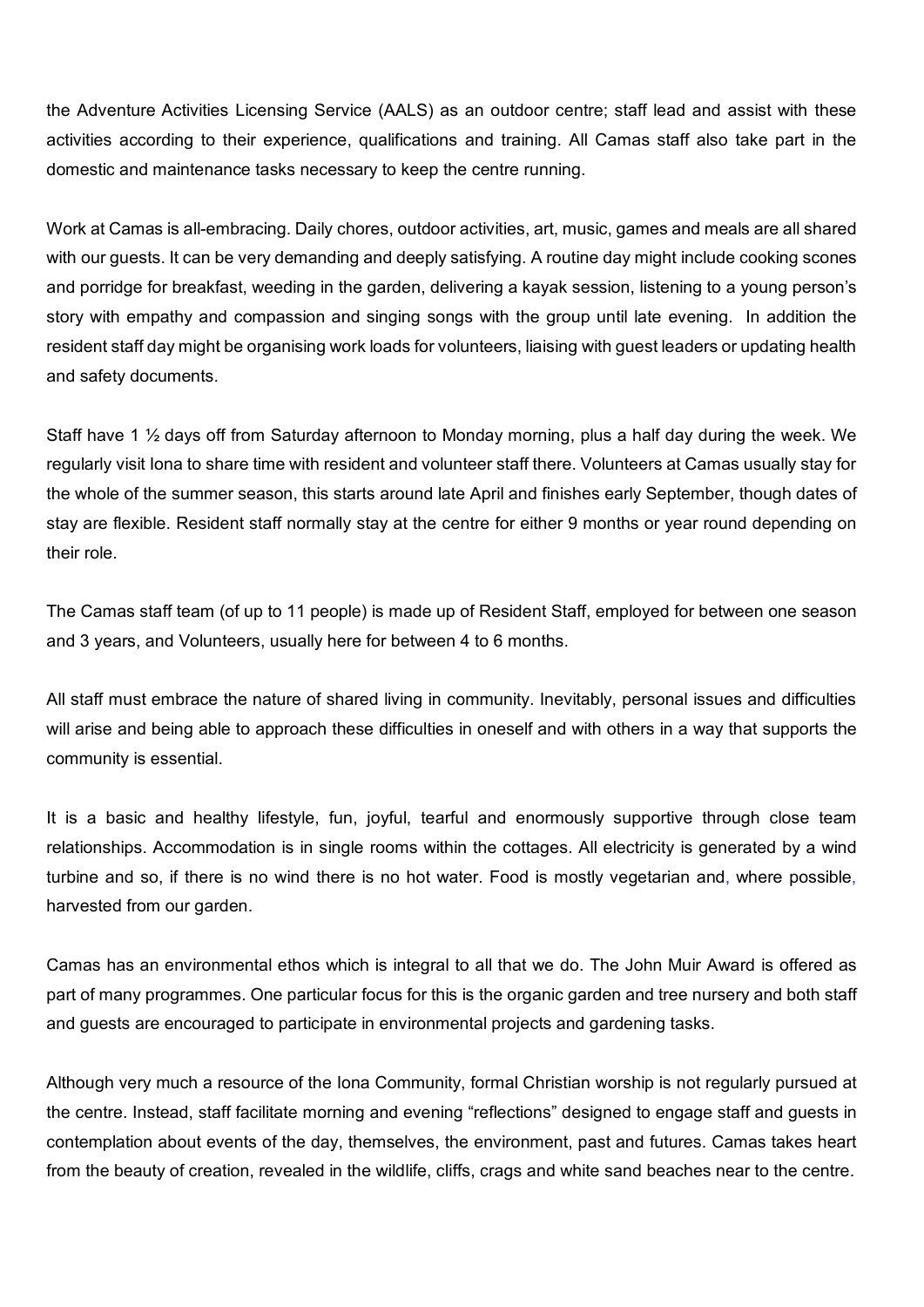the Adventure Activities Licensing Service (AALS) as an outdoor centre; staff lead and assist with these activities according to their experience, qualifications and training. All Camas staff also take part in the domestic and maintenance tasks necessary to keep the centre running.

Work at Camas is all-embracing. Daily chores, outdoor activities, art, music, games and meals are all shared with our guests. It can be very demanding and deeply satisfying. A routine day might include cooking scones and porridge for breakfast, weeding in the garden, delivering a kayak session, listening to a young person's story with empathy and compassion and singing songs with the group until late evening. In addition the resident staff day might be organising work loads for volunteers, liaising with guest leaders or updating health and safety documents.

Staff have 1 ½ days off from Saturday afternoon to Monday morning, plus a half day during the week. We regularly visit Iona to share time with resident and volunteer staff there. Volunteers at Camas usually stay for the whole of the summer season, this starts around late April and finishes early September, though dates of stay are flexible. Resident staff normally stay at the centre for either 9 months or year round depending on their role.

The Camas staff team (of up to 11 people) is made up of Resident Staff, employed for between one season and 3 years, and Volunteers, usually here for between 4 to 6 months.

All staff must embrace the nature of shared living in community. Inevitably, personal issues and difficulties will arise and being able to approach these difficulties in oneself and with others in a way that supports the community is essential.

It is a basic and healthy lifestyle, fun, joyful, tearful and enormously supportive through close team relationships. Accommodation is in single rooms within the cottages. All electricity is generated by a wind turbine and so, if there is no wind there is no hot water. Food is mostly vegetarian and, where possible, harvested from our garden.

Camas has an environmental ethos which is integral to all that we do. The John Muir Award is offered as part of many programmes. One particular focus for this is the organic garden and tree nursery and both staff and guests are encouraged to participate in environmental projects and gardening tasks.

Although very much a resource of the Iona Community, formal Christian worship is not regularly pursued at the centre. Instead, staff facilitate morning and evening "reflections" designed to engage staff and guests in contemplation about events of the day, themselves, the environment, past and futures. Camas takes heart from the beauty of creation, revealed in the wildlife, cliffs, crags and white sand beaches near to the centre.